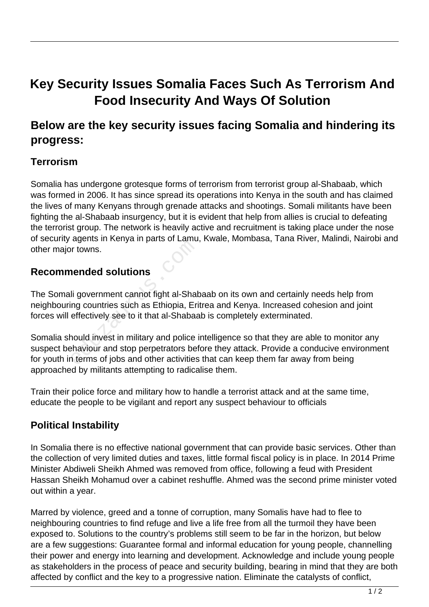# **Key Security Issues Somalia Faces Such As Terrorism And Food Insecurity And Ways Of Solution**

# **Below are the key security issues facing Somalia and hindering its progress:**

#### **Terrorism**

Somalia has undergone grotesque forms of terrorism from terrorist group al-Shabaab, which was formed in 2006. It has since spread its operations into Kenya in the south and has claimed the lives of many Kenyans through grenade attacks and shootings. Somali militants have been fighting the al-Shabaab insurgency, but it is evident that help from allies is crucial to defeating the terrorist group. The network is heavily active and recruitment is taking place under the nose of security agents in Kenya in parts of Lamu, Kwale, Mombasa, Tana River, Malindi, Nairobi and other major towns.

#### **Recommended solutions**

The Somali government cannot fight al-Shabaab on its own and certainly needs help from neighbouring countries such as Ethiopia, Eritrea and Kenya. Increased cohesion and joint forces will effectively see to it that al-Shabaab is completely exterminated.

Somalia should invest in military and police intelligence so that they are able to monitor any suspect behaviour and stop perpetrators before they attack. Provide a conducive environment for youth in terms of jobs and other activities that can keep them far away from being approached by militants attempting to radicalise them. r towns.<br> **ended solutions**<br>
li government cannot fight al-Shak<br>
ng countries such as Ethiopia, Eri<br>
effectively see to it that al-Shabaa<br>
nould invest in military and police is<br>
haviour and stop perpetrators bet<br>
n terms

Train their police force and military how to handle a terrorist attack and at the same time, educate the people to be vigilant and report any suspect behaviour to officials

### **Political Instability**

In Somalia there is no effective national government that can provide basic services. Other than the collection of very limited duties and taxes, little formal fiscal policy is in place. In 2014 Prime Minister Abdiweli Sheikh Ahmed was removed from office, following a feud with President Hassan Sheikh Mohamud over a cabinet reshuffle. Ahmed was the second prime minister voted out within a year.

Marred by violence, greed and a tonne of corruption, many Somalis have had to flee to neighbouring countries to find refuge and live a life free from all the turmoil they have been exposed to. Solutions to the country's problems still seem to be far in the horizon, but below are a few suggestions: Guarantee formal and informal education for young people, channelling their power and energy into learning and development. Acknowledge and include young people as stakeholders in the process of peace and security building, bearing in mind that they are both affected by conflict and the key to a progressive nation. Eliminate the catalysts of conflict,